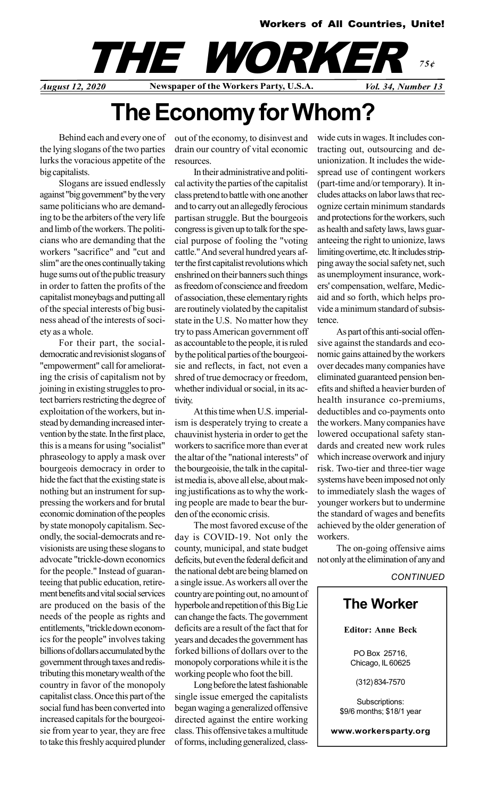#### Workers of All Countries, Unite!

## August 12, 2020 Newspaper of the Workers Party, U.S.A. Vol. 34, Number 13 THE WORKE 75¢

# The Economy for Whom?

Behind each and every one of the lying slogans of the two parties lurks the voracious appetite of the big capitalists.

Slogans are issued endlessly against "big government" by the very same politicians who are demanding to be the arbiters of the very life and limb of the workers. The politicians who are demanding that the workers "sacrifice" and "cut and slim" are the ones continually taking huge sums out of the public treasury in order to fatten the profits of the capitalist moneybags and putting all of the special interests of big business ahead of the interests of society as a whole.

For their part, the socialdemocratic and revisionist slogans of "empowerment" call for ameliorating the crisis of capitalism not by joining in existing struggles to protect barriers restricting the degree of exploitation of the workers, but instead by demanding increased intervention by the state. In the first place, this is a means for using "socialist" phraseology to apply a mask over bourgeois democracy in order to hide the fact that the existing state is nothing but an instrument for suppressing the workers and for brutal economic domination of the peoples by state monopoly capitalism. Secondly, the social-democrats and revisionists are using these slogans to advocate "trickle-down economics for the people." Instead of guaranteeing that public education, retirement benefits and vital social services are produced on the basis of the needs of the people as rights and entitlements, "trickle down economics for the people" involves taking billions of dollars accumulated by the government through taxes and redistributing this monetary wealth of the country in favor of the monopoly capitalist class. Once this part of the social fund has been converted into increased capitals for the bourgeoisie from year to year, they are free to take this freshly acquired plunder

out of the economy, to disinvest and drain our country of vital economic resources.

In their administrative and political activity the parties of the capitalist class pretend to battle with one another and to carry out an allegedly ferocious partisan struggle. But the bourgeois congress is given up to talk for the special purpose of fooling the "voting cattle." And several hundred years after the first capitalist revolutions which enshrined on their banners such things as freedom of conscience and freedom of association, these elementary rights are routinely violated by the capitalist state in the U.S. No matter how they try to pass American government off as accountable to the people, it is ruled by the political parties of the bourgeoisie and reflects, in fact, not even a shred of true democracy or freedom, whether individual or social, in its activity.

At this time when U.S. imperialism is desperately trying to create a chauvinist hysteria in order to get the workers to sacrifice more than ever at the altar of the "national interests" of the bourgeoisie, the talk in the capitalist media is, above all else, about making justifications as to why the working people are made to bear the burden of the economic crisis.

The most favored excuse of the day is COVID-19. Not only the county, municipal, and state budget deficits, but even the federal deficit and the national debt are being blamed on a single issue. As workers all over the country are pointing out, no amount of hyperbole and repetition of this Big Lie can change the facts. The government deficits are a result of the fact that for years and decades the government has forked billions of dollars over to the monopoly corporations while it is the working people who foot the bill.

Long before the latest fashionable single issue emerged the capitalists began waging a generalized offensive directed against the entire working class. This offensive takes a multitude of forms, including generalized, classwide cuts in wages. It includes contracting out, outsourcing and deunionization. It includes the widespread use of contingent workers (part-time and/or temporary). It includes attacks on labor laws that recognize certain minimum standards and protections for the workers, such as health and safety laws, laws guaranteeing the right to unionize, laws limiting overtime, etc. It includes stripping away the social safety net, such as unemployment insurance, workers' compensation, welfare, Medicaid and so forth, which helps provide a minimum standard of subsistence.

As part of this anti-social offensive against the standards and economic gains attained by the workers over decades many companies have eliminated guaranteed pension benefits and shifted a heavier burden of health insurance co-premiums, deductibles and co-payments onto the workers. Many companies have lowered occupational safety standards and created new work rules which increase overwork and injury risk. Two-tier and three-tier wage systems have been imposed not only to immediately slash the wages of younger workers but to undermine the standard of wages and benefits achieved by the older generation of workers.

The on-going offensive aims not only at the elimination of any and

**CONTINUED** 

### The Worker

Editor: Anne Beck

PO Box 25716, Chicago, IL 60625

(312) 834-7570

Subscriptions: \$9/6 months; \$18/1 year

www.workersparty.org